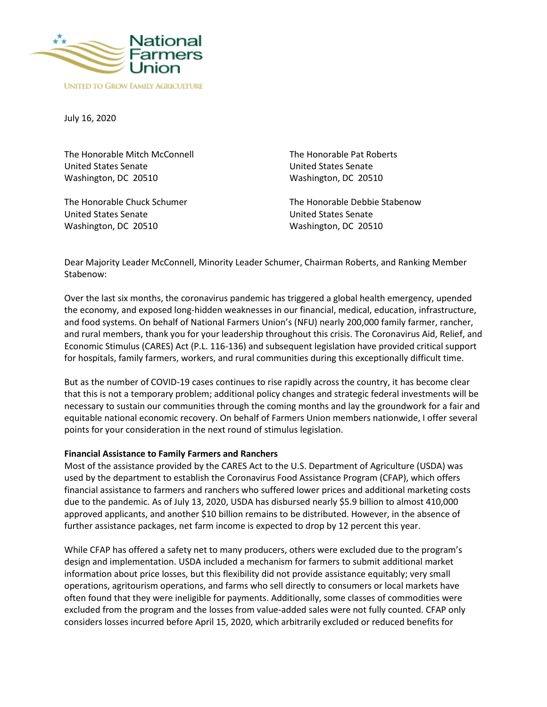

July 16, 2020

The Honorable Mitch McConnell United States Senate Washington, DC 20510

The Honorable Chuck Schumer United States Senate Washington, DC 20510

The Honorable Pat Roberts United States Senate Washington, DC 20510

The Honorable Debbie Stabenow United States Senate Washington, DC 20510

Dear Majority Leader McConnell, Minority Leader Schumer, Chairman Roberts, and Ranking Member Stabenow:

Over the last six months, the coronavirus pandemic has triggered a global health emergency, upended the economy, and exposed long-hidden weaknesses in our financial, medical, education, infrastructure, and food systems. On behalf of National Farmers Union's (NFU) nearly 200,000 family farmer, rancher, and rural members, thank you for your leadership throughout this crisis. The Coronavirus Aid, Relief, and Economic Stimulus (CARES) Act (P.L. 116-136) and subsequent legislation have provided critical support for hospitals, family farmers, workers, and rural communities during this exceptionally difficult time.

But as the number of COVID-19 cases continues to rise rapidly across the country, it has become clear that this is not a temporary problem; additional policy changes and strategic federal investments will be necessary to sustain our communities through the coming months and lay the groundwork for a fair and equitable national economic recovery. On behalf of Farmers Union members nationwide, I offer several points for your consideration in the next round of stimulus legislation.

#### **Financial Assistance to Family Farmers and Ranchers**

Most of the assistance provided by the CARES Act to the U.S. Department of Agriculture (USDA) was used by the department to establish the Coronavirus Food Assistance Program (CFAP), which offers financial assistance to farmers and ranchers who suffered lower prices and additional marketing costs due to the pandemic. As of July 13, 2020, USDA has disbursed nearly \$5.9 billion to almost 410,000 approved applicants, and another \$10 billion remains to be distributed. However, in the absence of further assistance packages, net farm income is expected to drop by 12 percent this year.

While CFAP has offered a safety net to many producers, others were excluded due to the program's design and implementation. USDA included a mechanism for farmers to submit additional market information about price losses, but this flexibility did not provide assistance equitably; very small operations, agritourism operations, and farms who sell directly to consumers or local markets have often found that they were ineligible for payments. Additionally, some classes of commodities were excluded from the program and the losses from value-added sales were not fully counted. CFAP only considers losses incurred before April 15, 2020, which arbitrarily excluded or reduced benefits for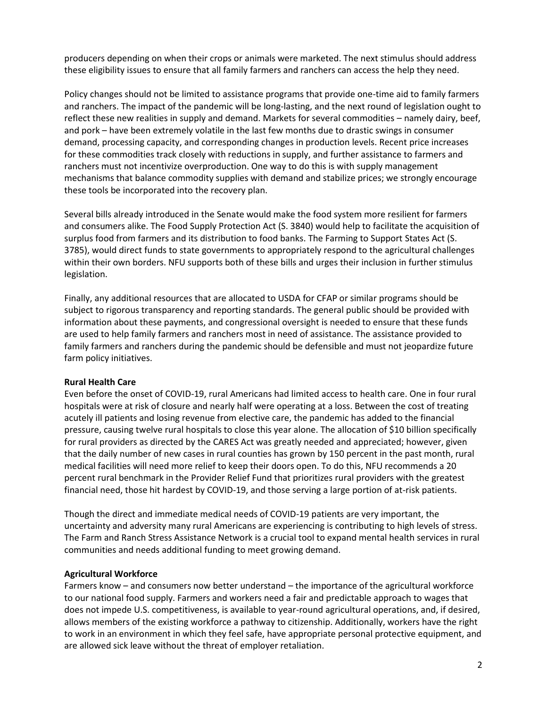producers depending on when their crops or animals were marketed. The next stimulus should address these eligibility issues to ensure that all family farmers and ranchers can access the help they need.

Policy changes should not be limited to assistance programs that provide one-time aid to family farmers and ranchers. The impact of the pandemic will be long-lasting, and the next round of legislation ought to reflect these new realities in supply and demand. Markets for several commodities – namely dairy, beef, and pork – have been extremely volatile in the last few months due to drastic swings in consumer demand, processing capacity, and corresponding changes in production levels. Recent price increases for these commodities track closely with reductions in supply, and further assistance to farmers and ranchers must not incentivize overproduction. One way to do this is with supply management mechanisms that balance commodity supplies with demand and stabilize prices; we strongly encourage these tools be incorporated into the recovery plan.

Several bills already introduced in the Senate would make the food system more resilient for farmers and consumers alike. The Food Supply Protection Act (S. 3840) would help to facilitate the acquisition of surplus food from farmers and its distribution to food banks. The Farming to Support States Act (S. 3785), would direct funds to state governments to appropriately respond to the agricultural challenges within their own borders. NFU supports both of these bills and urges their inclusion in further stimulus legislation.

Finally, any additional resources that are allocated to USDA for CFAP or similar programs should be subject to rigorous transparency and reporting standards. The general public should be provided with information about these payments, and congressional oversight is needed to ensure that these funds are used to help family farmers and ranchers most in need of assistance. The assistance provided to family farmers and ranchers during the pandemic should be defensible and must not jeopardize future farm policy initiatives.

#### **Rural Health Care**

Even before the onset of COVID-19, rural Americans had limited access to health care. One in four rural hospitals were at risk of closure and nearly half were operating at a loss. Between the cost of treating acutely ill patients and losing revenue from elective care, the pandemic has added to the financial pressure, causing twelve rural hospitals to close this year alone. The allocation of \$10 billion specifically for rural providers as directed by the CARES Act was greatly needed and appreciated; however, given that the daily number of new cases in rural counties has grown by 150 percent in the past month, rural medical facilities will need more relief to keep their doors open. To do this, NFU recommends a 20 percent rural benchmark in the Provider Relief Fund that prioritizes rural providers with the greatest financial need, those hit hardest by COVID-19, and those serving a large portion of at-risk patients.

Though the direct and immediate medical needs of COVID-19 patients are very important, the uncertainty and adversity many rural Americans are experiencing is contributing to high levels of stress. The Farm and Ranch Stress Assistance Network is a crucial tool to expand mental health services in rural communities and needs additional funding to meet growing demand.

#### **Agricultural Workforce**

Farmers know – and consumers now better understand – the importance of the agricultural workforce to our national food supply. Farmers and workers need a fair and predictable approach to wages that does not impede U.S. competitiveness, is available to year-round agricultural operations, and, if desired, allows members of the existing workforce a pathway to citizenship. Additionally, workers have the right to work in an environment in which they feel safe, have appropriate personal protective equipment, and are allowed sick leave without the threat of employer retaliation.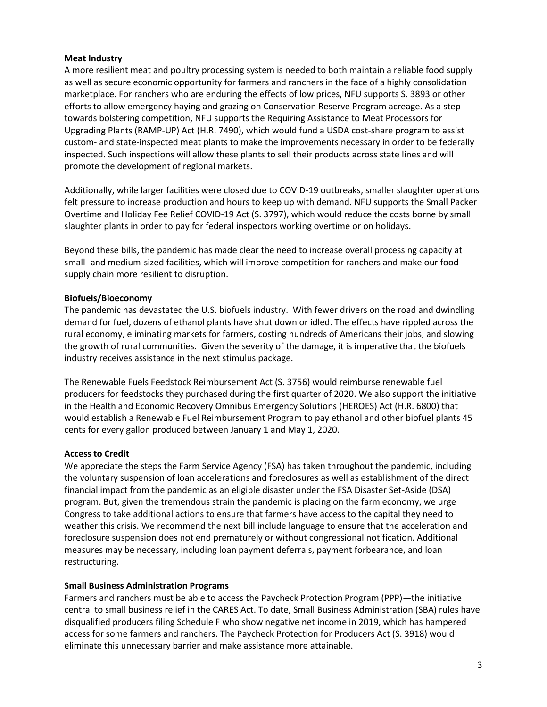## **Meat Industry**

A more resilient meat and poultry processing system is needed to both maintain a reliable food supply as well as secure economic opportunity for farmers and ranchers in the face of a highly consolidation marketplace. For ranchers who are enduring the effects of low prices, NFU supports S. 3893 or other efforts to allow emergency haying and grazing on Conservation Reserve Program acreage. As a step towards bolstering competition, NFU supports the Requiring Assistance to Meat Processors for Upgrading Plants (RAMP-UP) Act (H.R. 7490), which would fund a USDA cost-share program to assist custom- and state-inspected meat plants to make the improvements necessary in order to be federally inspected. Such inspections will allow these plants to sell their products across state lines and will promote the development of regional markets.

Additionally, while larger facilities were closed due to COVID-19 outbreaks, smaller slaughter operations felt pressure to increase production and hours to keep up with demand. NFU supports the Small Packer Overtime and Holiday Fee Relief COVID-19 Act (S. 3797), which would reduce the costs borne by small slaughter plants in order to pay for federal inspectors working overtime or on holidays.

Beyond these bills, the pandemic has made clear the need to increase overall processing capacity at small- and medium-sized facilities, which will improve competition for ranchers and make our food supply chain more resilient to disruption.

# **Biofuels/Bioeconomy**

The pandemic has devastated the U.S. biofuels industry. With fewer drivers on the road and dwindling demand for fuel, dozens of ethanol plants have shut down or idled. The effects have rippled across the rural economy, eliminating markets for farmers, costing hundreds of Americans their jobs, and slowing the growth of rural communities. Given the severity of the damage, it is imperative that the biofuels industry receives assistance in the next stimulus package.

The Renewable Fuels Feedstock Reimbursement Act (S. 3756) would reimburse renewable fuel producers for feedstocks they purchased during the first quarter of 2020. We also support the initiative in the Health and Economic Recovery Omnibus Emergency Solutions (HEROES) Act (H.R. 6800) that would establish a Renewable Fuel Reimbursement Program to pay ethanol and other biofuel plants 45 cents for every gallon produced between January 1 and May 1, 2020.

# **Access to Credit**

We appreciate the steps the Farm Service Agency (FSA) has taken throughout the pandemic, including the voluntary suspension of loan accelerations and foreclosures as well as establishment of the direct financial impact from the pandemic as an eligible disaster under the FSA Disaster Set-Aside (DSA) program. But, given the tremendous strain the pandemic is placing on the farm economy, we urge Congress to take additional actions to ensure that farmers have access to the capital they need to weather this crisis. We recommend the next bill include language to ensure that the acceleration and foreclosure suspension does not end prematurely or without congressional notification. Additional measures may be necessary, including loan payment deferrals, payment forbearance, and loan restructuring.

### **Small Business Administration Programs**

Farmers and ranchers must be able to access the Paycheck Protection Program (PPP)—the initiative central to small business relief in the CARES Act. To date, Small Business Administration (SBA) rules have disqualified producers filing Schedule F who show negative net income in 2019, which has hampered access for some farmers and ranchers. The Paycheck Protection for Producers Act (S. 3918) would eliminate this unnecessary barrier and make assistance more attainable.